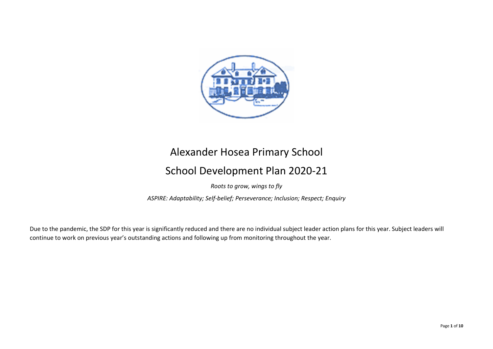

# Alexander Hosea Primary School

# School Development Plan 2020-21

Roots to grow, wings to fly

ASPIRE: Adaptability; Self-belief; Perseverance; Inclusion; Respect; Enquiry

Due to the pandemic, the SDP for this year is significantly reduced and there are no individual subject leader action plans for this year. Subject leaders will continue to work on previous year's outstanding actions and following up from monitoring throughout the year.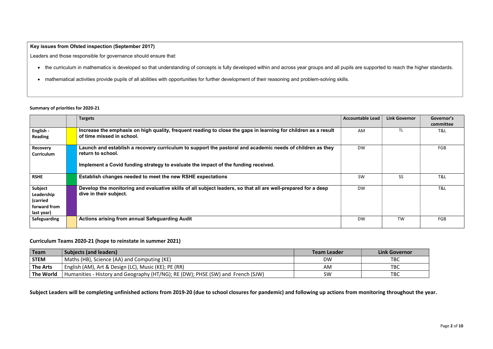## Summary of priorities for 2020-21

|                                                                 | <b>Targets</b>                                                                                                                                                                                                       | <b>Accountable Lead</b> | <b>Link Governor</b> | Governor's<br>committee |
|-----------------------------------------------------------------|----------------------------------------------------------------------------------------------------------------------------------------------------------------------------------------------------------------------|-------------------------|----------------------|-------------------------|
| English -<br><b>Reading</b>                                     | Increase the emphasis on high quality, frequent reading to close the gaps in learning for children as a result<br>of time missed in school.                                                                          | AM                      | <b>TL</b>            | T&L                     |
| <b>Recovery</b><br><b>Curriculum</b>                            | Launch and establish a recovery curriculum to support the pastoral and academic needs of children as they<br>return to school.<br>Implement a Covid funding strategy to evaluate the impact of the funding received. | <b>DW</b>               |                      | FGB                     |
| <b>RSHE</b>                                                     | Establish changes needed to meet the new RSHE expectations                                                                                                                                                           | <b>SW</b>               | <b>SS</b>            | T&L                     |
| Subject<br>Leadership<br>(carried<br>forward from<br>last year) | Develop the monitoring and evaluative skills of all subject leaders, so that all are well-prepared for a deep<br>dive in their subject.                                                                              | <b>DW</b>               |                      | T&L                     |
| <b>Safeguarding</b>                                             | Actions arising from annual Safeguarding Audit                                                                                                                                                                       | <b>DW</b>               | <b>TW</b>            | FGB                     |

## Curriculum Teams 2020-21 (hope to reinstate in summer 2021)

| Team            | <b>Subjects (and leaders)</b>                                                     | <b>Team Leader</b> | <b>Link Governor</b> |
|-----------------|-----------------------------------------------------------------------------------|--------------------|----------------------|
| <b>STEM</b>     | Maths (HB), Science (AA) and Computing (KE)                                       | <b>DW</b>          | <b>TBC</b>           |
| <b>The Arts</b> | English (AM), Art & Design (LC), Music (KE); PE (RR)                              | AM                 | <b>TBC</b>           |
| The World       | ' Humanities - History and Geography (HT/NG); RE (DW); PHSE (SW) and French (SJW) | SW                 | <b>TBC</b>           |

Subject Leaders will be completing unfinished actions from 2019-20 (due to school closures for pandemic) and following up actions from monitoring throughout the year.

# Key issues from Ofsted inspection (September 2017)

Leaders and those responsible for governance should ensure that:

- the curriculum in mathematics is developed so that understanding of concepts is fully developed within and across year groups and all pupils are supported to reach the higher standards.
- mathematical activities provide pupils of all abilities with opportunities for further development of their reasoning and problem-solving skills.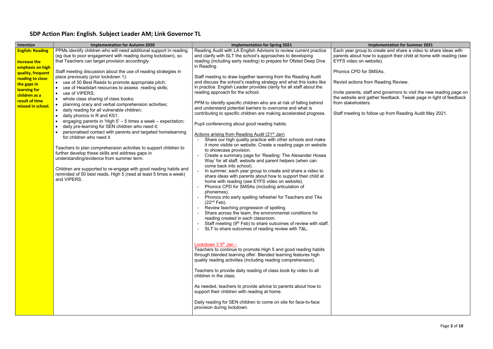# SDP Action Plan: English. Subject Leader AM; Link Governor TL

### plementation for Summer 2021

create and share a video to share ideas with o support their child at home with reading (see  $\textsf{site}$ ).

**ISAs.** 

Reading Review.

| Intention                                                                                                                                                                                          | <b>Implementation for Autumn 2020</b>                                                                                                                                                                                                                                                                                                                                                                                                                                                                                                                                                                                                                                                                                                                                                                                                                                                                                                                                                                                                                                                                                                                                                                                    | <b>Implementation for Spring 2021</b>                                                                                                                                                                                                                                                                                                                                                                                                                                                                                                                                                                                                                                                                                                                                                                                                                                                                                                                                                                                                                                                                                                                                                                                                                                                                                                                                                                                                                                                                                                                                                                                                                                                                                                                                                                                                                                                                                                                                                                                                                                                                                                                                                                                                                                             | Imp                                                                                                                                                                                                                 |
|----------------------------------------------------------------------------------------------------------------------------------------------------------------------------------------------------|--------------------------------------------------------------------------------------------------------------------------------------------------------------------------------------------------------------------------------------------------------------------------------------------------------------------------------------------------------------------------------------------------------------------------------------------------------------------------------------------------------------------------------------------------------------------------------------------------------------------------------------------------------------------------------------------------------------------------------------------------------------------------------------------------------------------------------------------------------------------------------------------------------------------------------------------------------------------------------------------------------------------------------------------------------------------------------------------------------------------------------------------------------------------------------------------------------------------------|-----------------------------------------------------------------------------------------------------------------------------------------------------------------------------------------------------------------------------------------------------------------------------------------------------------------------------------------------------------------------------------------------------------------------------------------------------------------------------------------------------------------------------------------------------------------------------------------------------------------------------------------------------------------------------------------------------------------------------------------------------------------------------------------------------------------------------------------------------------------------------------------------------------------------------------------------------------------------------------------------------------------------------------------------------------------------------------------------------------------------------------------------------------------------------------------------------------------------------------------------------------------------------------------------------------------------------------------------------------------------------------------------------------------------------------------------------------------------------------------------------------------------------------------------------------------------------------------------------------------------------------------------------------------------------------------------------------------------------------------------------------------------------------------------------------------------------------------------------------------------------------------------------------------------------------------------------------------------------------------------------------------------------------------------------------------------------------------------------------------------------------------------------------------------------------------------------------------------------------------------------------------------------------|---------------------------------------------------------------------------------------------------------------------------------------------------------------------------------------------------------------------|
| <b>English: Reading</b><br><b>Increase the</b><br>emphasis on high<br>quality, frequent<br>reading to close<br>the gaps in<br>learning for<br>children as a<br>result of time<br>missed in school. | PPMs identify children who will need additional support in reading<br>(eg due to poor engagement with reading during lockdown), so<br>that Teachers can target provision accordingly.<br>Staff meeting discussion about the use of reading strategies in<br>place previously (prior lockdown 1):<br>use of 50 Best Reads to promote appropriate pitch;<br>use of Headstart resources to assess reading skills;<br>use of VIPERS;<br>whole class sharing of class books;<br>planning oracy and verbal comprehension activities;<br>$\bullet$<br>daily reading for all vulnerable children;<br>$\bullet$<br>daily phonics in R and KS1;<br>$\bullet$<br>engaging parents in 'High $5'$ – 5 times a week – expectation;<br>$\bullet$<br>daily pre-learning for SEN children who need it;<br>$\bullet$<br>personalised contact with parents and targeted homelearning<br>for children who need it<br>Teachers to plan comprehension activities to support children to<br>further develop these skills and address gaps in<br>understanding/evidence from summer term.<br>Children are supported to re-engage with good reading habits and<br>reminded of 50 best reads, High 5 (read at least 5 times a week)<br>and VIPERS. | Reading Audit with LA English Advisors to review current practice<br>and clarify with SLT the school's approaches to developing<br>reading (including early reading) to prepare for Ofsted Deep Dive<br>in Reading.<br>Staff meeting to draw together learning from the Reading Audit<br>and discuss the school's reading strategy and what this looks like<br>in practice. English Leader provides clarity for all staff about the<br>reading approach for the school.<br>PPM to identify specific children who are at risk of falling behind<br>and understand potential barriers to overcome and what is<br>contributing to specific children are making accelerated progress.<br>Pupil conferencing about good reading habits.<br>Actions arising from Reading Audit (21 <sup>st</sup> Jan)<br>Share our high quality practice with other schools and make<br>it more visible on website. Create a reading page on website<br>to showcase provision.<br>Create a summary page for 'Reading: The Alexander Hosea<br>Way' for all staff, website and parent helpers (when can<br>come back into school).<br>In summer, each year group to create and share a video to<br>share ideas with parents about how to support their child at<br>home with reading (see EYFS video on website).<br>Phonics CPD for SMSAs (including articulation of<br>phonemes).<br>Phonics into early spelling refresher for Teachers and TAs<br>(22 <sup>nd</sup> Feb).<br>Review teaching progression of spelling.<br>Share across the team, the environmental conditions for<br>reading created in each classroom.<br>Staff meeting (9th Feb) to share outcomes of review with staff.<br>SLT to share outcomes of reading review with T&L.<br>Lockdown $3.5^{\text{th}}$ Jan -<br>Teachers to continue to promote High 5 and good reading habits<br>through blended learning offer. Blended learning features high<br>quality reading activities (including reading comprehension).<br>Teachers to provide daily reading of class book by video to all<br>children in the class.<br>As needed, teachers to provide advice to parents about how to<br>support their children with reading at home.<br>Daily reading for SEN children to come on site for face-to-face<br>provision during lockdown. | Each year group to c<br>parents about how to<br>EYFS video on webs<br>Phonics CPD for SM<br>Revisit actions from<br>Invite parents, staff a<br>the website and gath<br>from stakeholders.<br>Staff meeting to follo |

Invite parents, staff and governors to visit the new reading page on the website and gather feedback. Tweak page in light of feedback

ow up from Reading Audit May 2021.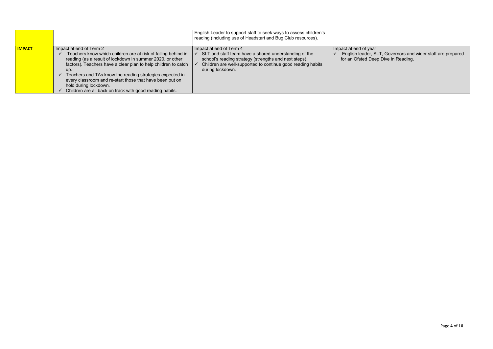|               |                                                                                                                                                                                                                                                                                                                                                                                                                                             | English Leader to support staff to seek ways to assess children's<br>reading (including use of Headstart and Bug Club resources).                                                                                            |                                                                  |
|---------------|---------------------------------------------------------------------------------------------------------------------------------------------------------------------------------------------------------------------------------------------------------------------------------------------------------------------------------------------------------------------------------------------------------------------------------------------|------------------------------------------------------------------------------------------------------------------------------------------------------------------------------------------------------------------------------|------------------------------------------------------------------|
| <b>IMPACT</b> | Impact at end of Term 2<br>Teachers know which children are at risk of falling behind in<br>reading (as a result of lockdown in summer 2020, or other<br>factors). Teachers have a clear plan to help children to catch<br>up.<br>Teachers and TAs know the reading strategies expected in<br>every classroom and re-start those that have been put on<br>hold during lockdown.<br>Children are all back on track with good reading habits. | Impact at end of Term 4<br>SLT and staff team have a shared understanding of the<br>school's reading strategy (strengths and next steps).<br>Children are well-supported to continue good reading habits<br>during lockdown. | Impact at end of year<br>English leader, SI<br>for an Ofsted Dee |

 $\checkmark$  English leader, SLT, Governors and wider staff are prepared for an Ofsted Deep Dive in Reading.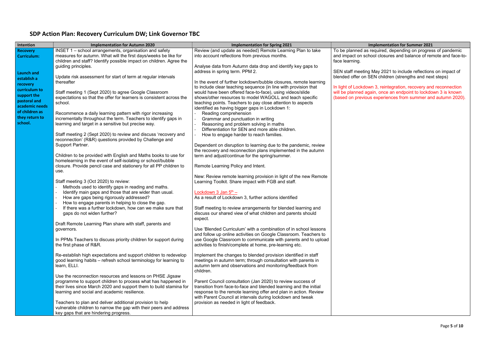# SDP Action Plan: Recovery Curriculum DW; Link Governor TBC

| Intention                                                                    | <b>Implementation for Autumn 2020</b>                                                                                                                                                                                                                                                                                                                                                                                                     | <b>Implementation for Spring 2021</b>                                                                                                                                                                                                                                                                                                     |                                                                                      |
|------------------------------------------------------------------------------|-------------------------------------------------------------------------------------------------------------------------------------------------------------------------------------------------------------------------------------------------------------------------------------------------------------------------------------------------------------------------------------------------------------------------------------------|-------------------------------------------------------------------------------------------------------------------------------------------------------------------------------------------------------------------------------------------------------------------------------------------------------------------------------------------|--------------------------------------------------------------------------------------|
| <b>Recovery</b><br><b>Curriculum:</b>                                        | INSET 1 - school arrangements, organisation and safety<br>measures for autumn. What will the first days/weeks be like for<br>children and staff? Identify possible impact on children. Agree the<br>guiding principles.                                                                                                                                                                                                                   | Review (and update as needed) Remote Learning Plan to take<br>into account reflections from previous months.<br>Analyse data from Autumn data drop and identify key gaps to                                                                                                                                                               | To be planned as<br>and impact on scl<br>face learning.                              |
| <b>Launch and</b><br>establish a<br>recovery<br>curriculum to<br>support the | Update risk assessment for start of term at regular intervals<br>thereafter<br>Staff meeting 1 (Sept 2020) to agree Google Classroom                                                                                                                                                                                                                                                                                                      | address in spring term. PPM 2.<br>In the event of further lockdown/bubble closures, remote learning<br>to include clear teaching sequence (in line with provision that<br>would have been offered face-to-face), using videos/slide                                                                                                       | SEN staff meeting<br>blended offer on 9<br>In light of Lockdow<br>will be planned ad |
| pastoral and<br>academic needs<br>of children as                             | expectations so that the offer for learners is consistent across the<br>school.<br>Recommence a daily learning pattern with rigor increasing                                                                                                                                                                                                                                                                                              | shows/other resources to model WAGOLL and teach specific<br>teaching points. Teachers to pay close attention to aspects<br>identified as having bigger gaps in Lockdown 1:<br>Reading comprehension                                                                                                                                       | (based on previou                                                                    |
| they return to<br>school.                                                    | incrementally throughout the term. Teachers to identify gaps in<br>learning and target in a sensitive but precise way.<br>Staff meeting 2 (Sept 2020) to review and discuss 'recovery and                                                                                                                                                                                                                                                 | Grammar and punctuation in writing<br>Reasoning and problem solving in maths<br>Differentiation for SEN and more able children.<br>How to engage harder to reach families.                                                                                                                                                                |                                                                                      |
|                                                                              | reconnection' (R&R) questions provided by Challenge and<br>Support Partner.<br>Children to be provided with English and Maths books to use for                                                                                                                                                                                                                                                                                            | Dependent on disruption to learning due to the pandemic, review<br>the recovery and reconnection plans implemented in the autumn<br>term and adjust/continue for the spring/summer.                                                                                                                                                       |                                                                                      |
|                                                                              | homelearning in the event of self-isolating or school/bubble<br>closure. Provide pencil case and stationery for all PP children to<br>use.                                                                                                                                                                                                                                                                                                | Remote Learning Policy and Intent.                                                                                                                                                                                                                                                                                                        |                                                                                      |
|                                                                              | Staff meeting 3 (Oct 2020) to review:<br>Methods used to identify gaps in reading and maths.<br>Identify main gaps and those that are wider than usual.<br>$\overline{\phantom{a}}$<br>How are gaps being rigorously addressed?<br>$\overline{\phantom{a}}$<br>How to engage parents in helping to close the gap.<br>$\overline{\phantom{a}}$<br>If there was a further lockdown, how can we make sure that<br>gaps do not widen further? | New: Review remote learning provision in light of the new Remote<br>Learning Toolkit. Share impact with FGB and staff.<br>Lockdown 3 Jan $5th$ -<br>As a result of Lockdown 3, further actions identified<br>Staff meeting to review arrangements for blended learning and<br>discuss our shared view of what children and parents should |                                                                                      |
|                                                                              | Draft Remote Learning Plan share with staff, parents and<br>governors.                                                                                                                                                                                                                                                                                                                                                                    | expect.<br>Use 'Blended Curriculum' with a combination of in school lessons<br>and follow up online activities on Google Classroom. Teachers to                                                                                                                                                                                           |                                                                                      |
|                                                                              | In PPMs Teachers to discuss priority children for support during<br>the first phase of R&R.                                                                                                                                                                                                                                                                                                                                               | use Google Classroom to communicate with parents and to upload<br>activities to finish/complete at home, pre-learning etc.                                                                                                                                                                                                                |                                                                                      |
|                                                                              | Re-establish high expectations and support children to redevelop<br>good learning habits – refresh school terminology for learning to<br>learn, ELLI.                                                                                                                                                                                                                                                                                     | Implement the changes to blended provision identified in staff<br>meetings in autumn term; through consultation with parents in<br>autumn term and observations and monitoring/feedback from<br>children.                                                                                                                                 |                                                                                      |
|                                                                              | Use the reconnection resources and lessons on PHSE Jigsaw<br>programme to support children to process what has happened in<br>their lives since March 2020 and support them to build stamina for<br>learning and social and academic resilience.                                                                                                                                                                                          | Parent Council consultation (Jan 2020) to review success of<br>transition from face-to-face and blended learning and the initial<br>response to the remote learning offer and plan in action. Review<br>with Parent Council at intervals during lockdown and tweak                                                                        |                                                                                      |
|                                                                              | Teachers to plan and deliver additional provision to help<br>vulnerable children to narrow the gap with their peers and address<br>key gaps that are hindering progress.                                                                                                                                                                                                                                                                  | provision as needed in light of feedback.                                                                                                                                                                                                                                                                                                 |                                                                                      |

### **Implementation for Summer 2021**

To be planned as required, depending on progress of pandemic and impact on school closures and balance of remote and face-to-

SEN staff meeting May 2021 to include reflections on impact of blended offer on SEN children (strengths and next steps)

> own 3, reintegration, recovery and reconnection gain, once an endpoint to lockdown 3 is known  $\overline{\mathsf{S}}$  experiences from summer and autumn 2020).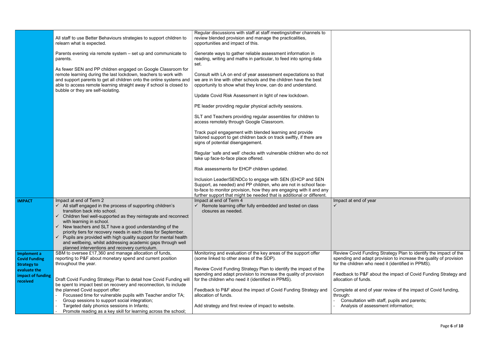|                                                                                                            | All staff to use Better Behaviours strategies to support children to<br>relearn what is expected.<br>Parents evening via remote system – set up and communicate to<br>parents.<br>As fewer SEN and PP children engaged on Google Classroom for<br>remote learning during the last lockdown, teachers to work with<br>and support parents to get all children onto the online systems and<br>able to access remote learning straight away if school is closed to<br>bubble or they are self-isolating.                                                       | Regular discussions with staff at staff meetings/other channels to<br>review blended provision and manage the practicalities,<br>opportunities and impact of this.<br>Generate ways to gather reliable assessment information in<br>reading, writing and maths in particular, to feed into spring data<br>set.<br>Consult with LA on end of year assessment expectations so that<br>we are in line with other schools and the children have the best<br>opportunity to show what they know, can do and understand.<br>Update Covid Risk Assessment in light of new lockdown.<br>PE leader providing regular physical activity sessions.<br>SLT and Teachers providing regular assembles for children to<br>access remotely through Google Classroom.<br>Track pupil engagement with blended learning and provide<br>tailored support to get children back on track swiftly, if there are<br>signs of potential disengagement.<br>Regular 'safe and well' checks with vulnerable children who do not<br>take up face-to-face place offered.<br>Risk assessments for EHCP children updated.<br>Inclusion Leader/SENDCo to engage with SEN (EHCP and SEN<br>Support, as needed) and PP children, who are not in school face-<br>to-face to monitor provision, how they are engaging with it and any |                                                                                                                                                                                                |
|------------------------------------------------------------------------------------------------------------|-------------------------------------------------------------------------------------------------------------------------------------------------------------------------------------------------------------------------------------------------------------------------------------------------------------------------------------------------------------------------------------------------------------------------------------------------------------------------------------------------------------------------------------------------------------|--------------------------------------------------------------------------------------------------------------------------------------------------------------------------------------------------------------------------------------------------------------------------------------------------------------------------------------------------------------------------------------------------------------------------------------------------------------------------------------------------------------------------------------------------------------------------------------------------------------------------------------------------------------------------------------------------------------------------------------------------------------------------------------------------------------------------------------------------------------------------------------------------------------------------------------------------------------------------------------------------------------------------------------------------------------------------------------------------------------------------------------------------------------------------------------------------------------------------------------------------------------------------------------------------|------------------------------------------------------------------------------------------------------------------------------------------------------------------------------------------------|
| <b>IMPACT</b>                                                                                              | Impact at end of Term 2<br>$\checkmark$ All staff engaged in the process of supporting children's<br>transition back into school.<br>Children feel well-supported as they reintegrate and reconnect<br>with learning in school.<br>New teachers and SLT have a good understanding of the<br>priority tiers for recovery needs in each class for September.<br>$\checkmark$ Pupils are provided with high quality support for mental health<br>and wellbeing, whilst addressing academic gaps through well<br>planned interventions and recovery curriculum. | further support that might be needed that is additional or different.<br>Impact at end of Term 4<br>$\checkmark$ Remote learning offer fully embedded and tested on class<br>closures as needed.                                                                                                                                                                                                                                                                                                                                                                                                                                                                                                                                                                                                                                                                                                                                                                                                                                                                                                                                                                                                                                                                                                 | Impact at end of yea                                                                                                                                                                           |
| Implement a<br><b>Covid Funding</b><br><b>Strategy to</b><br>evaluate the<br>impact of funding<br>received | SBM to oversee £17,360 and manage allocation of funds,<br>reporting to P&F about monetary spend and current position<br>throughout the year.<br>Draft Covid Funding Strategy Plan to detail how Covid Funding will<br>be spent to impact best on recovery and reconnection, to include<br>the planned Covid support offer:<br>Focussed time for vulnerable pupils with Teacher and/or TA;<br>Group sessions to support social integration;<br>Targeted daily phonics sessions in Infants;<br>Promote reading as a key skill for learning across the school; | Monitoring and evaluation of the key areas of the support offer<br>(some linked to other areas of the SDP).<br>Review Covid Funding Strategy Plan to identify the impact of the<br>spending and adapt provision to increase the quality of provision<br>for the children who need it (identified in PPMS).<br>Feedback to P&F about the impact of Covid Funding Strategy and<br>allocation of funds.<br>Add strategy and first review of impact to website.                                                                                                                                                                                                                                                                                                                                                                                                                                                                                                                                                                                                                                                                                                                                                                                                                                      | <b>Review Covid Fund</b><br>spending and adapt<br>for the children who<br>Feedback to P&F al<br>allocation of funds.<br>Complete at end of<br>through:<br>Consultation wit<br>Analysis of asse |

year

Review Covid Funding Strategy Plan to identify the impact of the spending and adapt provision to increase the quality of provision for the children who need it (identified in PPMS).

about the impact of Covid Funding Strategy and

of year review of the impact of Covid funding,

- Consultation with staff, pupils and parents; - Analysis of assessment information;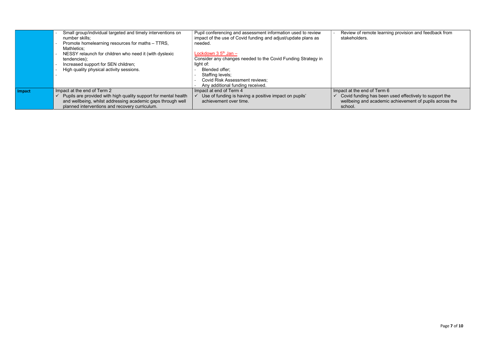If Term  $6$  $\checkmark$  Covid funding has been used effectively to support the wellbeing and academic achievement of pupils across the

|        | Small group/individual targeted and timely interventions on<br>number skills:<br>Promote homelearning resources for maths - TTRS,<br>Mathletics;<br>NESSY relaunch for children who need it (with dyslexic<br>tendencies);<br>Increased support for SEN children;<br>High quality physical activity sessions. | Pupil conferencing and assessment information used to review<br>impact of the use of Covid funding and adjust/update plans as<br>needed.<br>Lockdown 3 5 <sup>th</sup> Jan –<br>Consider any changes needed to the Covid Funding Strategy in<br>light of:<br>Blended offer:<br>Staffing levels;<br><b>Covid Risk Assessment reviews;</b><br>Any additional funding received. | Review of remot<br>stakeholders.                                       |
|--------|---------------------------------------------------------------------------------------------------------------------------------------------------------------------------------------------------------------------------------------------------------------------------------------------------------------|------------------------------------------------------------------------------------------------------------------------------------------------------------------------------------------------------------------------------------------------------------------------------------------------------------------------------------------------------------------------------|------------------------------------------------------------------------|
| Impact | Impact at the end of Term 2<br>$\checkmark$ Pupils are provided with high quality support for mental health<br>and wellbeing, whilst addressing academic gaps through well<br>planned interventions and recovery curriculum.                                                                                  | Impact at end of Term 4<br>Use of funding is having a positive impact on pupils'<br>achievement over time.                                                                                                                                                                                                                                                                   | Impact at the end of<br>Covid funding ha<br>wellbeing and a<br>school. |

bte learning provision and feedback from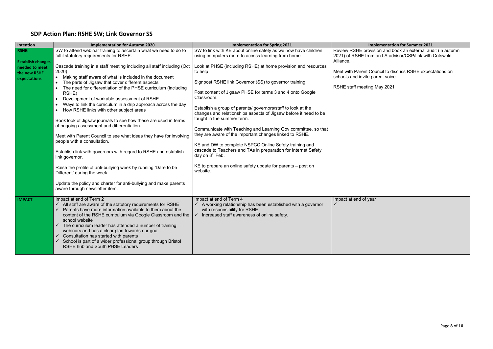# SDP Action Plan: RSHE SW; Link Governor SS

| Intention                                      | <b>Implementation for Autumn 2020</b>                                                                                                                                                                                                                                                                                                                                                                                                                                                                                                                                                                                                                                                                                                                                                                                                                                                                                                                                                       | <b>Implementation for Spring 2021</b>                                                                                                                                                                                                                                                                                                                                                                                                                                                                                                                                                                                                                                                                                                           | <b>Implementation for Summer 2021</b>                                                                             |
|------------------------------------------------|---------------------------------------------------------------------------------------------------------------------------------------------------------------------------------------------------------------------------------------------------------------------------------------------------------------------------------------------------------------------------------------------------------------------------------------------------------------------------------------------------------------------------------------------------------------------------------------------------------------------------------------------------------------------------------------------------------------------------------------------------------------------------------------------------------------------------------------------------------------------------------------------------------------------------------------------------------------------------------------------|-------------------------------------------------------------------------------------------------------------------------------------------------------------------------------------------------------------------------------------------------------------------------------------------------------------------------------------------------------------------------------------------------------------------------------------------------------------------------------------------------------------------------------------------------------------------------------------------------------------------------------------------------------------------------------------------------------------------------------------------------|-------------------------------------------------------------------------------------------------------------------|
| <b>RSHE:</b><br><b>Establish changes</b>       | SW to attend webinar training to ascertain what we need to do to<br>fulfil statutory requirements for RSHE.                                                                                                                                                                                                                                                                                                                                                                                                                                                                                                                                                                                                                                                                                                                                                                                                                                                                                 | SW to link with KE about online safety as we now have children<br>using computers more to access learning from home                                                                                                                                                                                                                                                                                                                                                                                                                                                                                                                                                                                                                             | Review RSHE provision and book an external aud<br>2021) of RSHE from an LA advisor/CSP/link with<br>Alliance.     |
| needed to meet<br>the new RSHE<br>expectations | Cascade training in a staff meeting including all staff including (Oct<br>2020)<br>Making staff aware of what is included in the document<br>$\bullet$<br>The parts of Jigsaw that cover different aspects<br>The need for differentiation of the PHSE curriculum (including<br>RSHE)<br>Development of workable assessment of RSHE<br>$\bullet$<br>Ways to link the curriculum in a drip approach across the day<br>How RSHE links with other subject areas<br>$\bullet$<br>Book look of Jigsaw journals to see how these are used in terms<br>of ongoing assessment and differentiation.<br>Meet with Parent Council to see what ideas they have for involving<br>people with a consultation.<br>Establish link with governors with regard to RSHE and establish<br>link governor.<br>Raise the profile of anti-bullying week by running 'Dare to be<br>Different' during the week.<br>Update the policy and charter for anti-bullying and make parents<br>aware through newsletter item. | Look at PHSE (including RSHE) at home provision and resources<br>to help<br>Signpost RSHE link Governor (SS) to governor training<br>Post content of Jigsaw PHSE for terms 3 and 4 onto Google<br>Classroom.<br>Establish a group of parents/governors/staff to look at the<br>changes and relationships aspects of Jigsaw before it need to be<br>taught in the summer term.<br>Communicate with Teaching and Learning Gov committee, so that<br>they are aware of the important changes linked to RSHE.<br>KE and DW to complete NSPCC Online Safety training and<br>cascade to Teachers and TAs in preparation for Internet Safety<br>day on 8 <sup>th</sup> Feb.<br>KE to prepare an online safety update for parents - post on<br>website. | Meet with Parent Council to discuss RSHE expec<br>schools and invite parent voice.<br>RSHE staff meeting May 2021 |
| <b>IMPACT</b>                                  | Impact at end of Term 2<br>$\checkmark$ All staff are aware of the statutory requirements for RSHE<br>Parents have more information available to them about the<br>✓<br>content of the RSHE curriculum via Google Classroom and the<br>school website<br>The curriculum leader has attended a number of training<br>$\checkmark$<br>webinars and has a clear plan towards our goal<br>$\checkmark$ Consultation has started with parents<br>School is part of a wider professional group through Bristol<br>$\checkmark$<br>RSHE hub and South PHSE Leaders                                                                                                                                                                                                                                                                                                                                                                                                                                 | Impact at end of Term 4<br>$\checkmark$ A working relationship has been established with a governor<br>with responsibility for RSHE<br>Increased staff awareness of online safety.<br>$\checkmark$                                                                                                                                                                                                                                                                                                                                                                                                                                                                                                                                              | Impact at end of year                                                                                             |

Review RSHE provision and book an external audit (in autumn 2021) of RSHE from an LA advisor/CSP/link with Cotswold

> ouncil to discuss RSHE expectations on s and in the set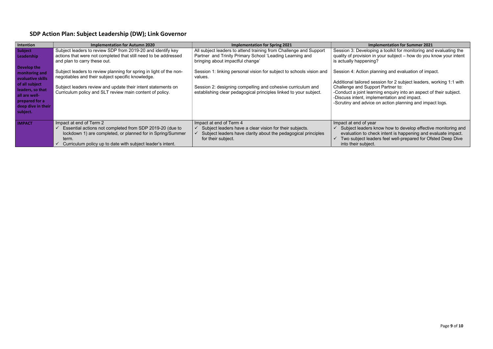| SDP Action Plan: Subject Leadership (DW); Link Governor |  |
|---------------------------------------------------------|--|
|---------------------------------------------------------|--|

| <b>Intention</b>                                                                                                                                              | <b>Implementation for Autumn 2020</b>                                                                                                                                                                                                               | <b>Implementation for Spring 2021</b>                                                                                                                                                                               | Imp                                                                                                                                                        |
|---------------------------------------------------------------------------------------------------------------------------------------------------------------|-----------------------------------------------------------------------------------------------------------------------------------------------------------------------------------------------------------------------------------------------------|---------------------------------------------------------------------------------------------------------------------------------------------------------------------------------------------------------------------|------------------------------------------------------------------------------------------------------------------------------------------------------------|
| <b>Subject</b><br>Leadership                                                                                                                                  | Subject leaders to review SDP from 2019-20 and identify key<br>actions that were not completed that still need to be addressed<br>and plan to carry these out.                                                                                      | All subject leaders to attend training from Challenge and Support<br>Partner and Trinity Primary School 'Leading Learning and<br>bringing about impactful change'                                                   | Session 3: Developin<br>quality of provision in<br>is actually happening                                                                                   |
| Develop the<br>monitoring and<br>evaluative skills<br>of all subject<br>leaders, so that<br>all are well-<br>prepared for a<br>deep dive in their<br>subject. | Subject leaders to review planning for spring in light of the non-<br>negotiables and their subject specific knowledge.<br>Subject leaders review and update their intent statements on<br>Curriculum policy and SLT review main content of policy. | Session 1: linking personal vision for subject to schools vision and<br>values.<br>Session 2: designing compelling and cohesive curriculum and<br>establishing clear pedagogical principles linked to your subject. | Session 4: Action pla<br>Additional tailored set<br><b>Challenge and Suppo</b><br>-Conduct a joint learn<br>-Discuss intent, imple<br>-Scrutiny and advice |
| <b>IMPACT</b>                                                                                                                                                 | Impact at end of Term 2<br>Essential actions not completed from SDP 2019-20 (due to<br>lockdown 1) are completed, or planned for in Spring/Summer<br>term.<br>Curriculum policy up to date with subject leader's intent.                            | Impact at end of Term 4<br>Subject leaders have a clear vision for their subjects.<br>Subject leaders have clarity about the pedagogical principles<br>for their subject.                                           | Impact at end of year<br>Subject leaders k<br>✓<br>evaluation to che<br>Two subject leade<br>into their subject.                                           |

### **Inplementation for Summer 2021**

ping a toolkit for monitoring and evaluating the  $\alpha$  in your subject – how do you know your intent ing?

olanning and evaluation of impact.

- session for 2 subject leaders, working 1:1 with pport Partner to:
- -Conduct a joint learning enquiry into an aspect of their subject. -Discuss intent, implementation and impact.
	- $\stackrel{\text{\tiny{l}}}{\text{ce}}$  on action planning and impact logs.

### $\overline{ar}$

know how to develop effective monitoring and eck intent is happening and evaluate impact. aders feel well-prepared for Ofsted Deep Dive